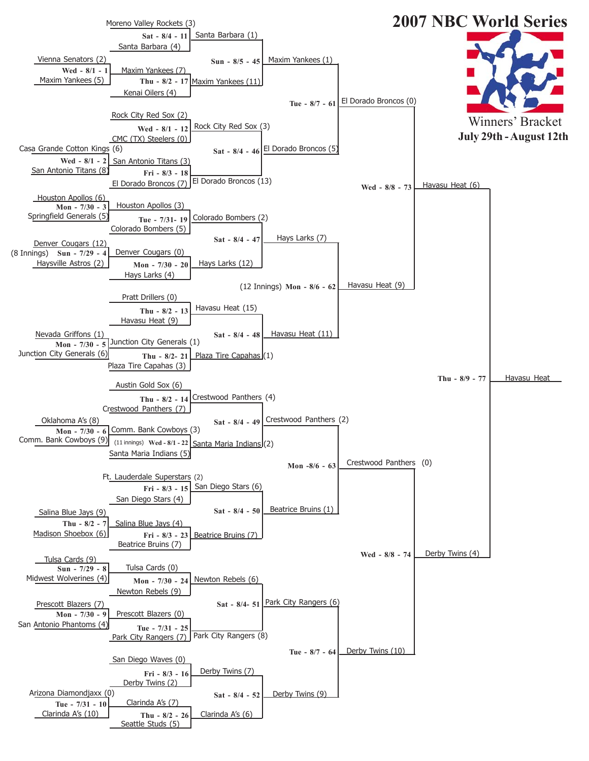